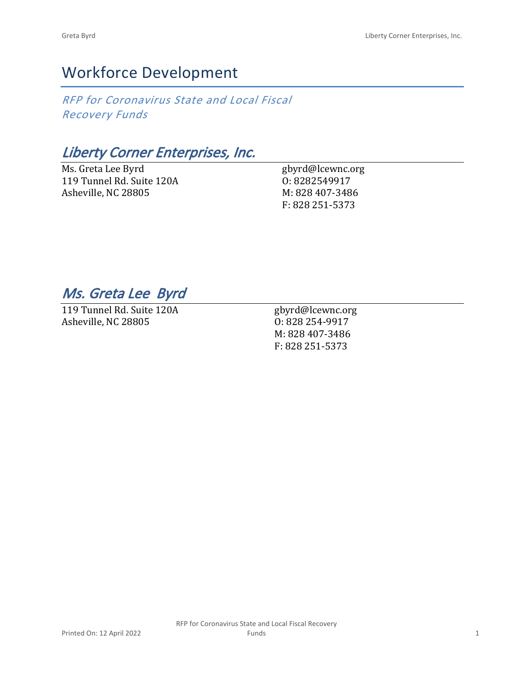# Workforce Development

*RFP for Coronavirus State and Local Fiscal Recovery Funds*

## *Liberty Corner Enterprises, Inc.*

Ms. Greta Lee Byrd 119 Tunnel Rd. Suite 120A Asheville, NC 28805

gbyrd@lcewnc.org O: 8282549917 M: 828 407-3486 F: 828 251-5373

### *Ms. Greta Lee Byrd*

119 Tunnel Rd. Suite 120A Asheville, NC 28805

gbyrd@lcewnc.org O: 828 254-9917 M: 828 407-3486 F: 828 251-5373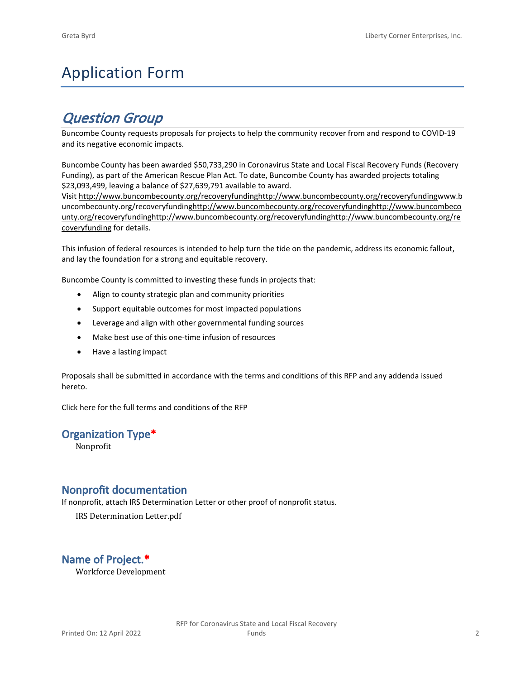# Application Form

## *Question Group*

Buncombe County requests proposals for projects to help the community recover from and respond to COVID-19 and its negative economic impacts.

Buncombe County has been awarded \$50,733,290 in Coronavirus State and Local Fiscal Recovery Funds (Recovery Funding), as part of the American Rescue Plan Act. To date, Buncombe County has awarded projects totaling \$23,093,499, leaving a balance of \$27,639,791 available to award.

Visit [http://www.buncombecounty.org/recoveryfundinghttp://www.buncombecounty.org/recoveryfundingwww.b](http://www.buncombecounty.org/recoveryfunding) [uncombecounty.org/recoveryfundinghttp://www.buncombecounty.org/recoveryfundinghttp://www.buncombeco](http://www.buncombecounty.org/recoveryfunding) [unty.org/recoveryfundinghttp://www.buncombecounty.org/recoveryfundinghttp://www.buncombecounty.org/re](http://www.buncombecounty.org/recoveryfunding) [coveryfunding](http://www.buncombecounty.org/recoveryfunding) for details.

This infusion of federal resources is intended to help turn the tide on the pandemic, address its economic fallout, and lay the foundation for a strong and equitable recovery.

Buncombe County is committed to investing these funds in projects that:

- Align to county strategic plan and community priorities
- Support equitable outcomes for most impacted populations
- Leverage and align with other governmental funding sources
- Make best use of this one-time infusion of resources
- Have a lasting impact

Proposals shall be submitted in accordance with the terms and conditions of this RFP and any addenda issued hereto.

Click [here](https://www.buncombecounty.org/common/purchasing/Buncombe%20Recovery%20Funding%20RFP%202022.pdf) for the full terms and conditions of the RFP

#### **Organization Type\***

Nonprofit

#### **Nonprofit documentation**

If nonprofit, attach IRS Determination Letter or other proof of nonprofit status.

IRS Determination Letter.pdf

### **Name of Project.\***

Workforce Development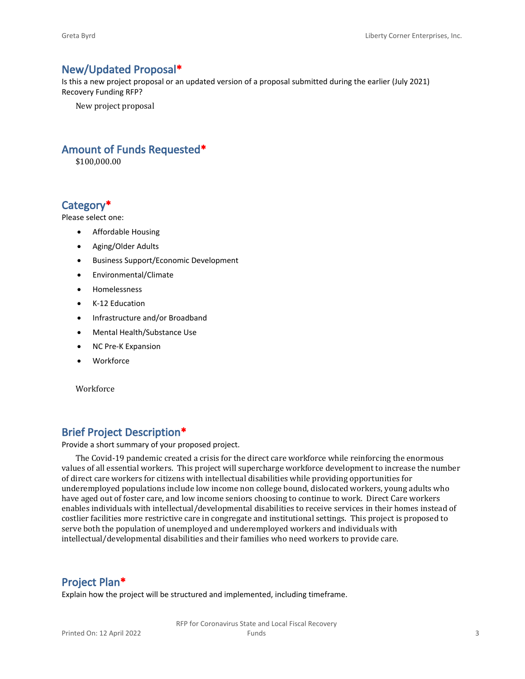#### **New/Updated Proposal\***

Is this a new project proposal or an updated version of a proposal submitted during the earlier (July 2021) Recovery Funding RFP?

New project proposal

#### **Amount of Funds Requested\***

\$100,000.00

#### **Category\***

Please select one:

- Affordable Housing
- Aging/Older Adults
- Business Support/Economic Development
- Environmental/Climate
- Homelessness
- K-12 Education
- Infrastructure and/or Broadband
- Mental Health/Substance Use
- NC Pre-K Expansion
- Workforce

Workforce

#### **Brief Project Description\***

Provide a short summary of your proposed project.

The Covid-19 pandemic created a crisis for the direct care workforce while reinforcing the enormous values of all essential workers. This project will supercharge workforce development to increase the number of direct care workers for citizens with intellectual disabilities while providing opportunities for underemployed populations include low income non college bound, dislocated workers, young adults who have aged out of foster care, and low income seniors choosing to continue to work. Direct Care workers enables individuals with intellectual/developmental disabilities to receive services in their homes instead of costlier facilities more restrictive care in congregate and institutional settings. This project is proposed to serve both the population of unemployed and underemployed workers and individuals with intellectual/developmental disabilities and their families who need workers to provide care.

#### **Project Plan\***

Explain how the project will be structured and implemented, including timeframe.

RFP for Coronavirus State and Local Fiscal Recovery Funds 3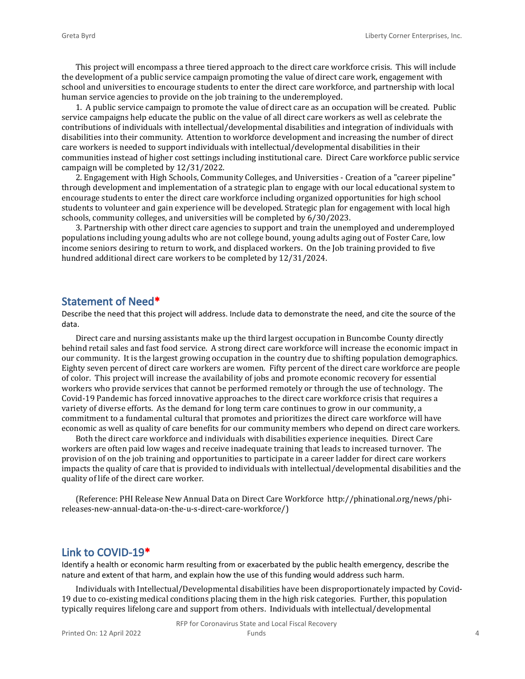This project will encompass a three tiered approach to the direct care workforce crisis. This will include the development of a public service campaign promoting the value of direct care work, engagement with school and universities to encourage students to enter the direct care workforce, and partnership with local human service agencies to provide on the job training to the underemployed.

1. A public service campaign to promote the value of direct care as an occupation will be created. Public service campaigns help educate the public on the value of all direct care workers as well as celebrate the contributions of individuals with intellectual/developmental disabilities and integration of individuals with disabilities into their community. Attention to workforce development and increasing the number of direct care workers is needed to support individuals with intellectual/developmental disabilities in their communities instead of higher cost settings including institutional care. Direct Care workforce public service campaign will be completed by 12/31/2022.

2. Engagement with High Schools, Community Colleges, and Universities - Creation of a "career pipeline" through development and implementation of a strategic plan to engage with our local educational system to encourage students to enter the direct care workforce including organized opportunities for high school students to volunteer and gain experience will be developed. Strategic plan for engagement with local high schools, community colleges, and universities will be completed by 6/30/2023.

3. Partnership with other direct care agencies to support and train the unemployed and underemployed populations including young adults who are not college bound, young adults aging out of Foster Care, low income seniors desiring to return to work, and displaced workers. On the Job training provided to five hundred additional direct care workers to be completed by 12/31/2024.

#### **Statement of Need\***

Describe the need that this project will address. Include data to demonstrate the need, and cite the source of the data.

Direct care and nursing assistants make up the third largest occupation in Buncombe County directly behind retail sales and fast food service. A strong direct care workforce will increase the economic impact in our community. It is the largest growing occupation in the country due to shifting population demographics. Eighty seven percent of direct care workers are women. Fifty percent of the direct care workforce are people of color. This project will increase the availability of jobs and promote economic recovery for essential workers who provide services that cannot be performed remotely or through the use of technology. The Covid-19 Pandemic has forced innovative approaches to the direct care workforce crisis that requires a variety of diverse efforts. As the demand for long term care continues to grow in our community, a commitment to a fundamental cultural that promotes and prioritizes the direct care workforce will have economic as well as quality of care benefits for our community members who depend on direct care workers.

Both the direct care workforce and individuals with disabilities experience inequities. Direct Care workers are often paid low wages and receive inadequate training that leads to increased turnover. The provision of on the job training and opportunities to participate in a career ladder for direct care workers impacts the quality of care that is provided to individuals with intellectual/developmental disabilities and the quality of life of the direct care worker.

(Reference: PHI Release New Annual Data on Direct Care Workforce http://phinational.org/news/phireleases-new-annual-data-on-the-u-s-direct-care-workforce/)

#### **Link to COVID-19\***

Identify a health or economic harm resulting from or exacerbated by the public health emergency, describe the nature and extent of that harm, and explain how the use of this funding would address such harm.

Individuals with Intellectual/Developmental disabilities have been disproportionately impacted by Covid-19 due to co-existing medical conditions placing them in the high risk categories. Further, this population typically requires lifelong care and support from others. Individuals with intellectual/developmental

RFP for Coronavirus State and Local Fiscal Recovery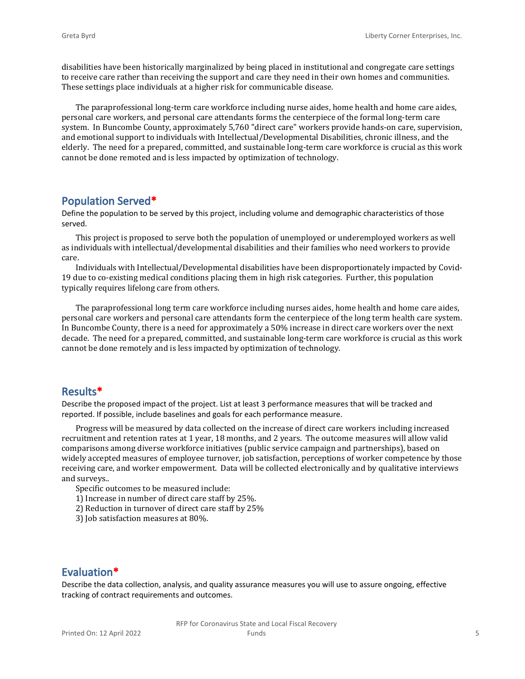disabilities have been historically marginalized by being placed in institutional and congregate care settings to receive care rather than receiving the support and care they need in their own homes and communities. These settings place individuals at a higher risk for communicable disease.

The paraprofessional long-term care workforce including nurse aides, home health and home care aides, personal care workers, and personal care attendants forms the centerpiece of the formal long-term care system. In Buncombe County, approximately 5,760 "direct care" workers provide hands-on care, supervision, and emotional support to individuals with Intellectual/Developmental Disabilities, chronic illness, and the elderly. The need for a prepared, committed, and sustainable long-term care workforce is crucial as this work cannot be done remoted and is less impacted by optimization of technology.

#### **Population Served\***

Define the population to be served by this project, including volume and demographic characteristics of those served.

This project is proposed to serve both the population of unemployed or underemployed workers as well as individuals with intellectual/developmental disabilities and their families who need workers to provide care.

Individuals with Intellectual/Developmental disabilities have been disproportionately impacted by Covid-19 due to co-existing medical conditions placing them in high risk categories. Further, this population typically requires lifelong care from others.

The paraprofessional long term care workforce including nurses aides, home health and home care aides, personal care workers and personal care attendants form the centerpiece of the long term health care system. In Buncombe County, there is a need for approximately a 50% increase in direct care workers over the next decade. The need for a prepared, committed, and sustainable long-term care workforce is crucial as this work cannot be done remotely and is less impacted by optimization of technology.

#### **Results\***

Describe the proposed impact of the project. List at least 3 performance measures that will be tracked and reported. If possible, include baselines and goals for each performance measure.

Progress will be measured by data collected on the increase of direct care workers including increased recruitment and retention rates at 1 year, 18 months, and 2 years. The outcome measures will allow valid comparisons among diverse workforce initiatives (public service campaign and partnerships), based on widely accepted measures of employee turnover, job satisfaction, perceptions of worker competence by those receiving care, and worker empowerment. Data will be collected electronically and by qualitative interviews and surveys..

Specific outcomes to be measured include:

- 1) Increase in number of direct care staff by 25%.
- 2) Reduction in turnover of direct care staff by 25%
- 3) Job satisfaction measures at 80%.

### **Evaluation\***

Describe the data collection, analysis, and quality assurance measures you will use to assure ongoing, effective tracking of contract requirements and outcomes.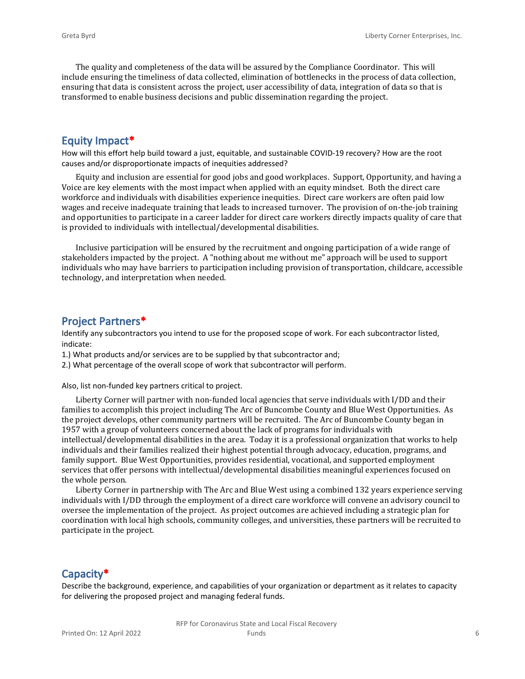The quality and completeness of the data will be assured by the Compliance Coordinator. This will include ensuring the timeliness of data collected, elimination of bottlenecks in the process of data collection, ensuring that data is consistent across the project, user accessibility of data, integration of data so that is transformed to enable business decisions and public dissemination regarding the project.

#### **Equity Impact\***

How will this effort help build toward a just, equitable, and sustainable COVID-19 recovery? How are the root causes and/or disproportionate impacts of inequities addressed?

Equity and inclusion are essential for good jobs and good workplaces. Support, Opportunity, and having a Voice are key elements with the most impact when applied with an equity mindset. Both the direct care workforce and individuals with disabilities experience inequities. Direct care workers are often paid low wages and receive inadequate training that leads to increased turnover. The provision of on-the-job training and opportunities to participate in a career ladder for direct care workers directly impacts quality of care that is provided to individuals with intellectual/developmental disabilities.

Inclusive participation will be ensured by the recruitment and ongoing participation of a wide range of stakeholders impacted by the project. A "nothing about me without me" approach will be used to support individuals who may have barriers to participation including provision of transportation, childcare, accessible technology, and interpretation when needed.

#### **Project Partners\***

Identify any subcontractors you intend to use for the proposed scope of work. For each subcontractor listed, indicate:

- 1.) What products and/or services are to be supplied by that subcontractor and;
- 2.) What percentage of the overall scope of work that subcontractor will perform.

Also, list non-funded key partners critical to project.

Liberty Corner will partner with non-funded local agencies that serve individuals with I/DD and their families to accomplish this project including The Arc of Buncombe County and Blue West Opportunities. As the project develops, other community partners will be recruited. The Arc of Buncombe County began in 1957 with a group of volunteers concerned about the lack of programs for individuals with intellectual/developmental disabilities in the area. Today it is a professional organization that works to help individuals and their families realized their highest potential through advocacy, education, programs, and family support. Blue West Opportunities, provides residential, vocational, and supported employment services that offer persons with intellectual/developmental disabilities meaningful experiences focused on the whole person.

Liberty Corner in partnership with The Arc and Blue West using a combined 132 years experience serving individuals with I/DD through the employment of a direct care workforce will convene an advisory council to oversee the implementation of the project. As project outcomes are achieved including a strategic plan for coordination with local high schools, community colleges, and universities, these partners will be recruited to participate in the project.

#### **Capacity\***

Describe the background, experience, and capabilities of your organization or department as it relates to capacity for delivering the proposed project and managing federal funds.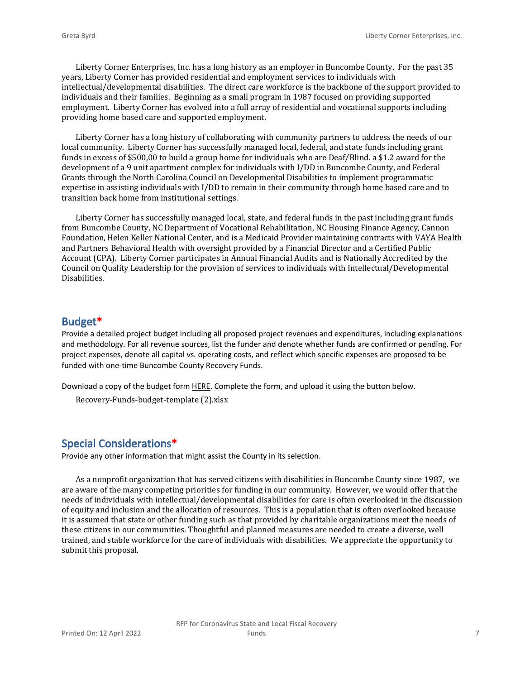Liberty Corner Enterprises, Inc. has a long history as an employer in Buncombe County. For the past 35 years, Liberty Corner has provided residential and employment services to individuals with intellectual/developmental disabilities. The direct care workforce is the backbone of the support provided to individuals and their families. Beginning as a small program in 1987 focused on providing supported employment. Liberty Corner has evolved into a full array of residential and vocational supports including providing home based care and supported employment.

Liberty Corner has a long history of collaborating with community partners to address the needs of our local community. Liberty Corner has successfully managed local, federal, and state funds including grant funds in excess of \$500,00 to build a group home for individuals who are Deaf/Blind. a \$1.2 award for the development of a 9 unit apartment complex for individuals with I/DD in Buncombe County, and Federal Grants through the North Carolina Council on Developmental Disabilities to implement programmatic expertise in assisting individuals with I/DD to remain in their community through home based care and to transition back home from institutional settings.

Liberty Corner has successfully managed local, state, and federal funds in the past including grant funds from Buncombe County, NC Department of Vocational Rehabilitation, NC Housing Finance Agency, Cannon Foundation, Helen Keller National Center, and is a Medicaid Provider maintaining contracts with VAYA Health and Partners Behavioral Health with oversight provided by a Financial Director and a Certified Public Account (CPA). Liberty Corner participates in Annual Financial Audits and is Nationally Accredited by the Council on Quality Leadership for the provision of services to individuals with Intellectual/Developmental Disabilities.

#### **Budget\***

Provide a detailed project budget including all proposed project revenues and expenditures, including explanations and methodology. For all revenue sources, list the funder and denote whether funds are confirmed or pending. For project expenses, denote all capital vs. operating costs, and reflect which specific expenses are proposed to be funded with one-time Buncombe County Recovery Funds.

Download a copy of the budget form [HERE](https://buncombecounty.org/common/community-investment/grants/early-childhood-education/Recovery-Funds-budget-template.xlsx). Complete the form, and upload it using the button below.

```
Recovery-Funds-budget-template (2).xlsx
```
#### **Special Considerations\***

Provide any other information that might assist the County in its selection.

As a nonprofit organization that has served citizens with disabilities in Buncombe County since 1987, we are aware of the many competing priorities for funding in our community. However, we would offer that the needs of individuals with intellectual/developmental disabilities for care is often overlooked in the discussion of equity and inclusion and the allocation of resources. This is a population that is often overlooked because it is assumed that state or other funding such as that provided by charitable organizations meet the needs of these citizens in our communities. Thoughtful and planned measures are needed to create a diverse, well trained, and stable workforce for the care of individuals with disabilities. We appreciate the opportunity to submit this proposal.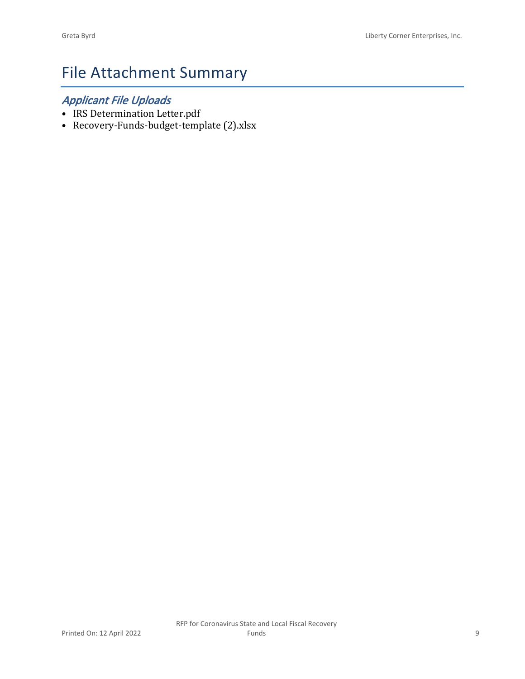# File Attachment Summary

### *Applicant File Uploads*

- IRS Determination Letter.pdf
- Recovery-Funds-budget-template (2).xlsx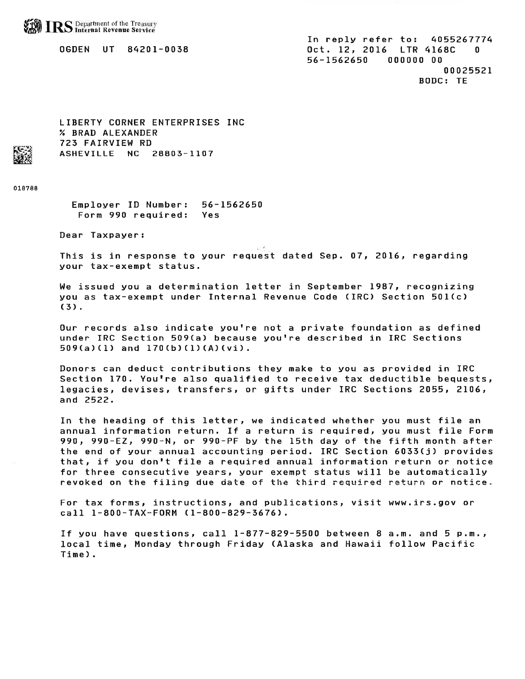**RS** Department of the Treasury

0GDEN UT 84201-0038

In reply refer to: 4055267774 Oct. 12, 2016 LTR 4168C 56-1562650 000000 00 00025521 **BODC: TE** 

LIBERTY CORNER ENTERPRISES INC % BRAD ALEXANDER 723 FAIRVIEW RD ASHEVILLE NC 28803-1107

018788

Employer ID Number: 56-1562650 Form 990 required: Yes

Dear Taxpayer:

and di This is in response to your request dated Sep. 07, 2016, regarding your tax-exempt status.

We issued you a determination letter in September 1987, recognizing you as tax-exempt under Internal Revenue Code (IRC) Section 501(c)  $(3)$ .

Our records also indicate you're not a private foundation as defined under IRC Section 509(a) because you're described in IRC Sections  $509(a)(1)$  and  $170(b)(1)(A)(vi)$ .

Donors can deduct contributions they make to you as provided in IRC Section 170. You're also qualified to receive tax deductible bequests, legacies, devises, transfers, or gifts under IRC Sections 2055, 2106, and 2522.

In the heading of this letter, we indicated whether you must file an annual information return. If a return is required, you must file Form 990, 990-EZ, 990-N, or 990-PF by the 15th day of the fifth month after the end of your annual accounting period. IRC Section 6033(j) provides that, if you don't file a required annual information return or notice for three consecutive years, your exempt status will be automatically revoked on the filing due date of the third required return or notice.

For tax forms, instructions, and publications, visit www.irs.gov or call 1-800-TAX-FORM (1-800-829-3676).

If you have questions, call 1-877-829-5500 between 8 a.m. and 5 p.m., local time, Monday through Friday (Alaska and Hawaii follow Pacific Time).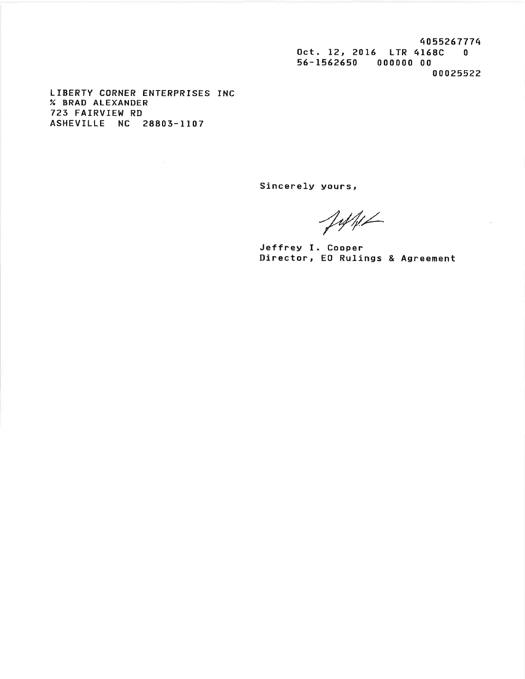4055267774 Oct. 12, 2016 LTR 4168C 0 56-1562650 000000 00 00025522

 $\sim$ 

LIBERTY CORNER ENTERPRISES INC % BRAD ALEXANDER 723 FAIRVIEW RD ASHEVILLE NC 28803-1107

Sincerely yours,

 $J\psi\psi\angle$ 

Jeffrey I. Cooper Director, EO Rulings & Agreement